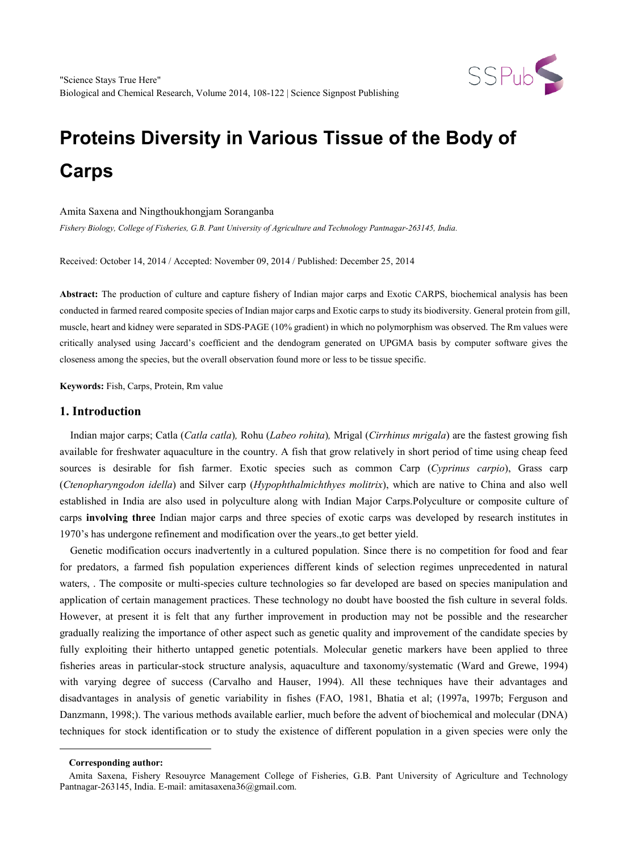

#### Amita Saxena and Ningthoukhongjam Soranganba

*Fishery Biology, College of Fisheries, G.B. Pant University of Agriculture and Technology Pantnagar-263145, India.*

Received: October 14, 2014 / Accepted: November 09, 2014 / Published: December 25, 2014

**Abstract:** The production of culture and capture fishery of Indian major carps and Exotic CARPS, biochemical analysis has been conducted in farmed reared composite species of Indian major carps and Exotic carps to study its biodiversity. General protein from gill, muscle, heart and kidney were separated in SDS-PAGE (10% gradient) in which no polymorphism was observed. The Rm values were critically analysed using Jaccard's coefficient and the dendogram generated on UPGMA basis by computer software gives the closeness among the species, but the overall observation found more or less to be tissue specific.

**Keywords:** Fish, Carps, Protein, Rm value

#### **1. Introduction**

Indian major carps; Catla (*Catla catla*)*,* Rohu (*Labeo rohita*)*,* Mrigal (*Cirrhinus mrigala*) are the fastest growing fish available for freshwater aquaculture in the country. A fish that grow relatively in short period of time using cheap feed sources is desirable for fish farmer. Exotic species such as common Carp (*Cyprinus carpio*), Grass carp (*Ctenopharyngodon idella*) and Silver carp (*Hypophthalmichthyes molitrix*), which are native to China and also well established in India are also used in polyculture along with Indian Major Carps.Polyculture or composite culture of carps **involving three** Indian major carps and three species of exotic carps was developed by research institutes in 1970's has undergone refinement and modification over the years.,to get better yield.

Genetic modification occurs inadvertently in a cultured population. Since there is no competition for food and fear for predators, a farmed fish population experiences different kinds of selection regimes unprecedented in natural waters, . The composite or multi-species culture technologies so far developed are based on species manipulation and application of certain management practices. These technology no doubt have boosted the fish culture in several folds. However, at present it is felt that any further improvement in production may not be possible and the researcher gradually realizing the importance of other aspect such as genetic quality and improvement of the candidate species by fully exploiting their hitherto untapped genetic potentials. Molecular genetic markers have been applied to three fisheries areas in particular-stock structure analysis, aquaculture and taxonomy/systematic (Ward and Grewe, 1994) with varying degree of success (Carvalho and Hauser, 1994). All these techniques have their advantages and disadvantages in analysis of genetic variability in fishes (FAO, 1981, Bhatia et al; (1997a, 1997b; Ferguson and Danzmann, 1998;). The various methods available earlier, much before the advent of biochemical and molecular (DNA) techniques for stock identification or to study the existence of different population in a given species were only the

<span id="page-0-0"></span>-

**Corresponding author:**

Amita Saxena, Fishery Resouyrce Management College of Fisheries, G.B. Pant University of Agriculture and Technology Pantnagar-263145, India. E-mail: amitasaxena36@gmail.com.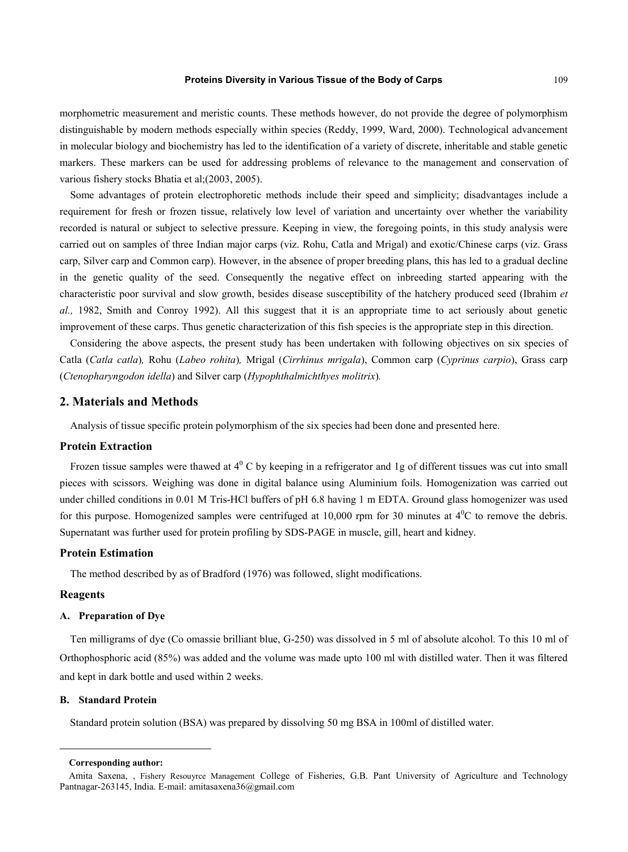morphometric measurement and meristic counts. These methods however, do not provide the degree of polymorphism distinguishable by modern methods especially within species (Reddy, 1999, Ward, 2000). Technological advancement in molecular biology and biochemistry has led to the identification of a variety of discrete, inheritable and stable genetic markers. These markers can be used for addressing problems of relevance to the management and conservation of various fishery stocks Bhatia et al;(2003, 2005).

Some advantages of protein electrophoretic methods include their speed and simplicity; disadvantages include a requirement for fresh or frozen tissue, relatively low level of variation and uncertainty over whether the variability recorded is natural or subject to selective pressure. Keeping in view, the foregoing points, in this study analysis were carried out on samples of three Indian major carps (viz. Rohu, Catla and Mrigal) and exotic/Chinese carps (viz. Grass carp, Silver carp and Common carp). However, in the absence of proper breeding plans, this has led to a gradual decline in the genetic quality of the seed. Consequently the negative effect on inbreeding started appearing with the characteristic poor survival and slow growth, besides disease susceptibility of the hatchery produced seed (Ibrahim *et al.,* 1982, Smith and Conroy 1992). All this suggest that it is an appropriate time to act seriously about genetic improvement of these carps. Thus genetic characterization of this fish species is the appropriate step in this direction.

Considering the above aspects, the present study has been undertaken with following objectives on six species of Catla (*Catla catla*)*,* Rohu (*Labeo rohita*)*,* Mrigal (*Cirrhinus mrigala*), Common carp (*Cyprinus carpio*), Grass carp (*Ctenopharyngodon idella*) and Silver carp (*Hypophthalmichthyes molitrix*)*.*

#### **2. Materials and Methods**

Analysis of tissue specific protein polymorphism of the six species had been done and presented here.

#### **Protein Extraction**

Frozen tissue samples were thawed at  $4^{\circ}$  C by keeping in a refrigerator and 1g of different tissues was cut into small pieces with scissors. Weighing was done in digital balance using Aluminium foils. Homogenization was carried out under chilled conditions in 0.01 M Tris-HCl buffers of pH 6.8 having 1 m EDTA. Ground glass homogenizer was used for this purpose. Homogenized samples were centrifuged at  $10,000$  rpm for 30 minutes at  $4^{\circ}$ C to remove the debris. Supernatant was further used for protein profiling by SDS-PAGE in muscle, gill, heart and kidney.

#### **Protein Estimation**

The method described by as of Bradford (1976) was followed, slight modifications.

#### **Reagents**

<span id="page-1-0"></span>-

#### **A. Preparation of Dye**

Ten milligrams of dye (Co omassie brilliant blue, G-250) was dissolved in 5 ml of absolute alcohol. To this 10 ml of Orthophosphoric acid (85%) was added and the volume was made upto 100 ml with distilled water. Then it was filtered and kept in dark bottle and used within 2 weeks.

#### **B. Standard Protein**

Standard protein solution (BSA) was prepared by dissolving 50 mg BSA in 100ml of distilled water.

**Corresponding author:**

Amita Saxena, , Fishery Resouyrce Management College of Fisheries, G.B. Pant University of Agriculture and Technology Pantnagar-263145, India. E-mail: amitasaxena36@gmail.com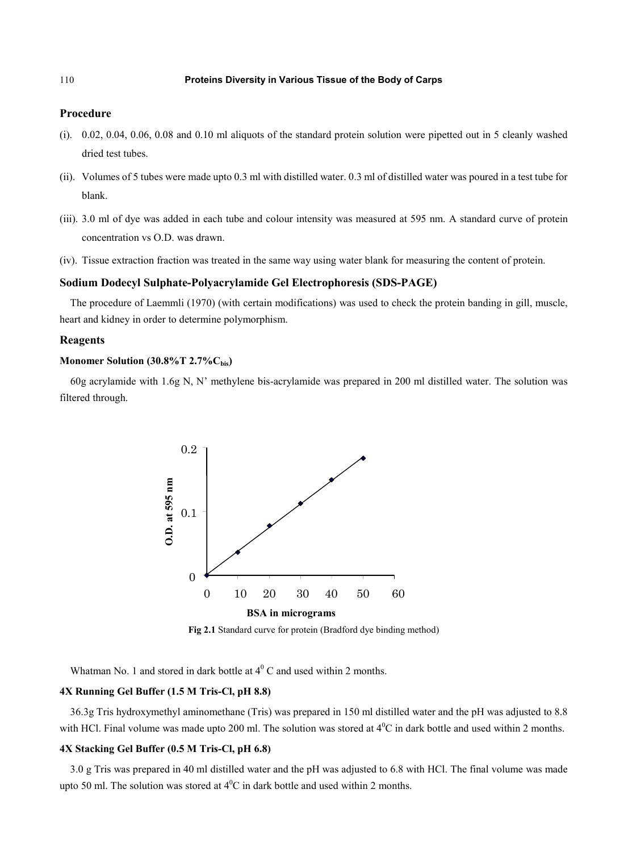#### **Procedure**

- (i). 0.02, 0.04, 0.06, 0.08 and 0.10 ml aliquots of the standard protein solution were pipetted out in 5 cleanly washed dried test tubes.
- (ii). Volumes of 5 tubes were made upto 0.3 ml with distilled water. 0.3 ml of distilled water was poured in a test tube for blank.
- (iii). 3.0 ml of dye was added in each tube and colour intensity was measured at 595 nm. A standard curve of protein concentration vs O.D. was drawn.
- (iv). Tissue extraction fraction was treated in the same way using water blank for measuring the content of protein.

#### **Sodium Dodecyl Sulphate-Polyacrylamide Gel Electrophoresis (SDS-PAGE)**

The procedure of Laemmli (1970) (with certain modifications) was used to check the protein banding in gill, muscle, heart and kidney in order to determine polymorphism.

#### **Reagents**

#### **Monomer Solution (30.8%T 2.7%Cbis)**

60g acrylamide with 1.6g N, N' methylene bis-acrylamide was prepared in 200 ml distilled water. The solution was filtered through.



**Fig 2.1** Standard curve for protein (Bradford dye binding method)

Whatman No. 1 and stored in dark bottle at  $4^{\circ}$  C and used within 2 months.

#### **4X Running Gel Buffer (1.5 M Tris-Cl, pH 8.8)**

36.3g Tris hydroxymethyl aminomethane (Tris) was prepared in 150 ml distilled water and the pH was adjusted to 8.8 with HCl. Final volume was made upto 200 ml. The solution was stored at  $4^0C$  in dark bottle and used within 2 months.

#### **4X Stacking Gel Buffer (0.5 M Tris-Cl, pH 6.8)**

3.0 g Tris was prepared in 40 ml distilled water and the pH was adjusted to 6.8 with HCl. The final volume was made upto 50 ml. The solution was stored at  $4^{\circ}$ C in dark bottle and used within 2 months.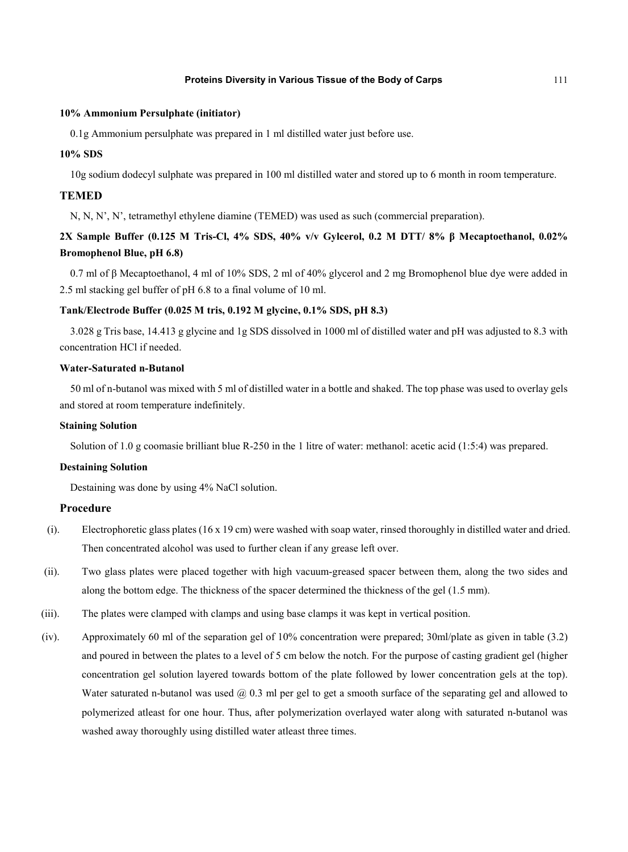#### **10% Ammonium Persulphate (initiator)**

0.1g Ammonium persulphate was prepared in 1 ml distilled water just before use.

#### **10% SDS**

10g sodium dodecyl sulphate was prepared in 100 ml distilled water and stored up to 6 month in room temperature.

#### **TEMED**

N, N, N', N', tetramethyl ethylene diamine (TEMED) was used as such (commercial preparation).

# **2X Sample Buffer (0.125 M Tris-Cl, 4% SDS, 40% v/v Gylcerol, 0.2 M DTT/ 8% β Mecaptoethanol, 0.02% Bromophenol Blue, pH 6.8)**

0.7 ml of β Mecaptoethanol, 4 ml of 10% SDS, 2 ml of 40% glycerol and 2 mg Bromophenol blue dye were added in 2.5 ml stacking gel buffer of pH 6.8 to a final volume of 10 ml.

#### **Tank/Electrode Buffer (0.025 M tris, 0.192 M glycine, 0.1% SDS, pH 8.3)**

3.028 g Tris base, 14.413 g glycine and 1g SDS dissolved in 1000 ml of distilled water and pH was adjusted to 8.3 with concentration HCl if needed.

#### **Water-Saturated n-Butanol**

50 ml of n-butanol was mixed with 5 ml of distilled water in a bottle and shaked. The top phase was used to overlay gels and stored at room temperature indefinitely.

#### **Staining Solution**

Solution of 1.0 g coomasie brilliant blue R-250 in the 1 litre of water: methanol: acetic acid (1:5:4) was prepared.

#### **Destaining Solution**

Destaining was done by using 4% NaCl solution.

#### **Procedure**

- (i). Electrophoretic glass plates (16 x 19 cm) were washed with soap water, rinsed thoroughly in distilled water and dried. Then concentrated alcohol was used to further clean if any grease left over.
- (ii). Two glass plates were placed together with high vacuum-greased spacer between them, along the two sides and along the bottom edge. The thickness of the spacer determined the thickness of the gel (1.5 mm).
- (iii). The plates were clamped with clamps and using base clamps it was kept in vertical position.
- (iv). Approximately 60 ml of the separation gel of 10% concentration were prepared; 30ml/plate as given in table (3.2) and poured in between the plates to a level of 5 cm below the notch. For the purpose of casting gradient gel (higher concentration gel solution layered towards bottom of the plate followed by lower concentration gels at the top). Water saturated n-butanol was used  $\omega$  0.3 ml per gel to get a smooth surface of the separating gel and allowed to polymerized atleast for one hour. Thus, after polymerization overlayed water along with saturated n-butanol was washed away thoroughly using distilled water atleast three times.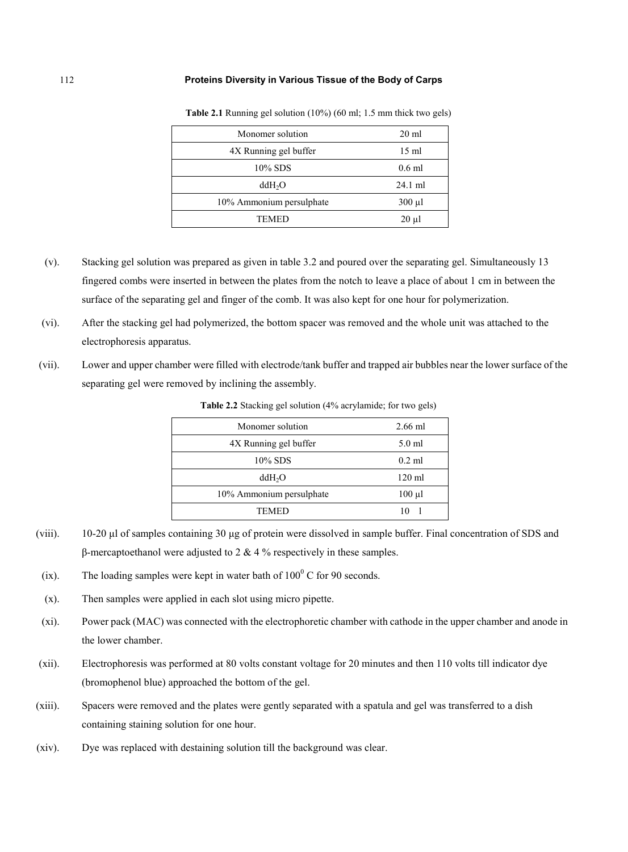| Monomer solution         | $20 \text{ ml}$ |
|--------------------------|-----------------|
| 4X Running gel buffer    | $15 \text{ ml}$ |
| 10% SDS                  | $0.6$ ml        |
| ddH <sub>2</sub> O       | $24.1$ ml       |
| 10% Ammonium persulphate | $300 \mu l$     |
| TEMED                    | $20 \mu l$      |

**Table 2.1** Running gel solution (10%) (60 ml; 1.5 mm thick two gels)

- (v). Stacking gel solution was prepared as given in table 3.2 and poured over the separating gel. Simultaneously 13 fingered combs were inserted in between the plates from the notch to leave a place of about 1 cm in between the surface of the separating gel and finger of the comb. It was also kept for one hour for polymerization.
- (vi). After the stacking gel had polymerized, the bottom spacer was removed and the whole unit was attached to the electrophoresis apparatus.
- (vii). Lower and upper chamber were filled with electrode/tank buffer and trapped air bubbles near the lower surface of the separating gel were removed by inclining the assembly.

| Monomer solution         | $2.66$ ml        |
|--------------------------|------------------|
| 4X Running gel buffer    | $5.0$ ml         |
| 10% SDS                  | $0.2$ ml         |
| ddH <sub>2</sub> O       | $120 \text{ ml}$ |
| 10% Ammonium persulphate | $100 \mu l$      |
| TEMED                    |                  |

**Table 2.2** Stacking gel solution (4% acrylamide; for two gels)

- (viii). 10-20 μl of samples containing 30 μg of protein were dissolved in sample buffer. Final concentration of SDS and β-mercaptoethanol were adjusted to 2 & 4 % respectively in these samples.
- (ix). The loading samples were kept in water bath of  $100^{\circ}$  C for 90 seconds.
- (x). Then samples were applied in each slot using micro pipette.
- (xi). Power pack (MAC) was connected with the electrophoretic chamber with cathode in the upper chamber and anode in the lower chamber.
- (xii). Electrophoresis was performed at 80 volts constant voltage for 20 minutes and then 110 volts till indicator dye (bromophenol blue) approached the bottom of the gel.
- (xiii). Spacers were removed and the plates were gently separated with a spatula and gel was transferred to a dish containing staining solution for one hour.
- (xiv). Dye was replaced with destaining solution till the background was clear.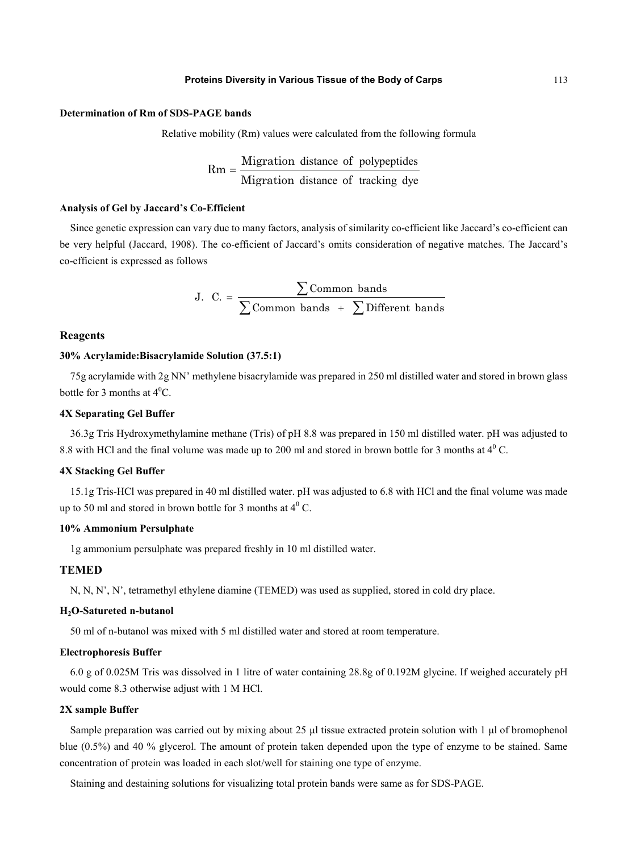#### **Determination of Rm of SDS-PAGE bands**

Relative mobility (Rm) values were calculated from the following formula

$$
Rm = \frac{Migration distance of polypeptides}{Migration distance of tracking dye}
$$

#### **Analysis of Gel by Jaccard's Co-Efficient**

Since genetic expression can vary due to many factors, analysis of similarity co-efficient like Jaccard's co-efficient can be very helpful (Jaccard, 1908). The co-efficient of Jaccard's omits consideration of negative matches. The Jaccard's co-efficient is expressed as follows

J. C. = 
$$
\frac{\sum \text{Common bands}}{\sum \text{Common bands } + \sum \text{Different bands}}
$$

#### **Reagents**

#### **30% Acrylamide:Bisacrylamide Solution (37.5:1)**

75g acrylamide with 2g NN' methylene bisacrylamide was prepared in 250 ml distilled water and stored in brown glass bottle for 3 months at  $4^0C$ .

#### **4X Separating Gel Buffer**

36.3g Tris Hydroxymethylamine methane (Tris) of pH 8.8 was prepared in 150 ml distilled water. pH was adjusted to 8.8 with HCl and the final volume was made up to 200 ml and stored in brown bottle for 3 months at  $4^{\circ}$  C.

#### **4X Stacking Gel Buffer**

15.1g Tris-HCl was prepared in 40 ml distilled water. pH was adjusted to 6.8 with HCl and the final volume was made up to 50 ml and stored in brown bottle for 3 months at  $4^{\circ}$  C.

#### **10% Ammonium Persulphate**

1g ammonium persulphate was prepared freshly in 10 ml distilled water.

#### **TEMED**

N, N, N', N', tetramethyl ethylene diamine (TEMED) was used as supplied, stored in cold dry place.

#### **H2O-Satureted n-butanol**

50 ml of n-butanol was mixed with 5 ml distilled water and stored at room temperature.

#### **Electrophoresis Buffer**

6.0 g of 0.025M Tris was dissolved in 1 litre of water containing 28.8g of 0.192M glycine. If weighed accurately pH would come 8.3 otherwise adjust with 1 M HCl.

#### **2X sample Buffer**

Sample preparation was carried out by mixing about 25 μl tissue extracted protein solution with 1 μl of bromophenol blue (0.5%) and 40 % glycerol. The amount of protein taken depended upon the type of enzyme to be stained. Same concentration of protein was loaded in each slot/well for staining one type of enzyme.

Staining and destaining solutions for visualizing total protein bands were same as for SDS-PAGE.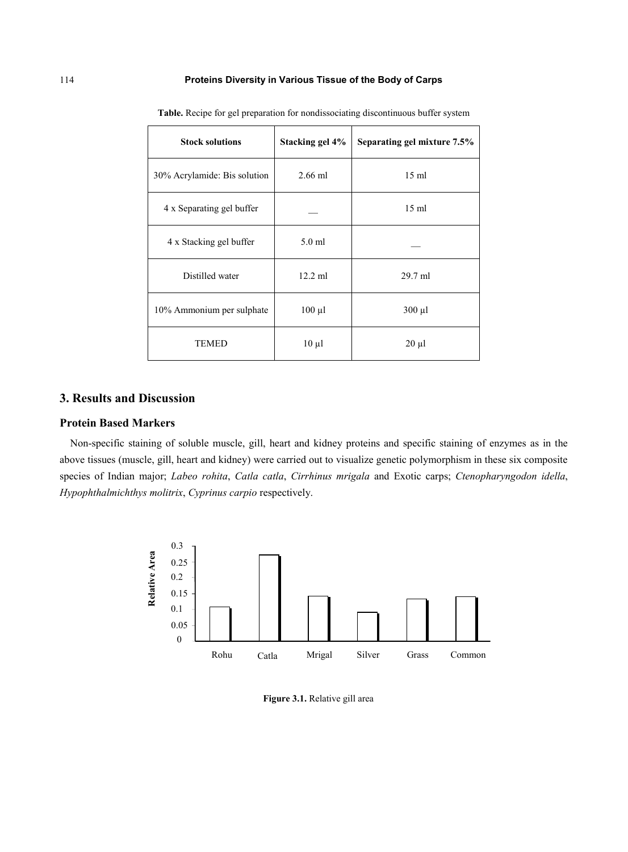| <b>Stock solutions</b>       | Stacking gel 4% | Separating gel mixture 7.5% |
|------------------------------|-----------------|-----------------------------|
| 30% Acrylamide: Bis solution | $2.66$ ml       | $15 \text{ ml}$             |
| 4 x Separating gel buffer    |                 | $15 \text{ ml}$             |
| 4 x Stacking gel buffer      | $5.0$ ml        |                             |
| Distilled water              | $12.2$ ml       | $29.7$ ml                   |
| 10% Ammonium per sulphate    | $100 \mu l$     | $300 \mu l$                 |
| <b>TEMED</b>                 | $10 \mu l$      | $20 \mu l$                  |

**Table.** Recipe for gel preparation for nondissociating discontinuous buffer system

# **3. Results and Discussion**

#### **Protein Based Markers**

Non-specific staining of soluble muscle, gill, heart and kidney proteins and specific staining of enzymes as in the above tissues (muscle, gill, heart and kidney) were carried out to visualize genetic polymorphism in these six composite species of Indian major; *Labeo rohita*, *Catla catla*, *Cirrhinus mrigala* and Exotic carps; *Ctenopharyngodon idella*, *Hypophthalmichthys molitrix*, *Cyprinus carpio* respectively.



**Figure 3.1.** Relative gill area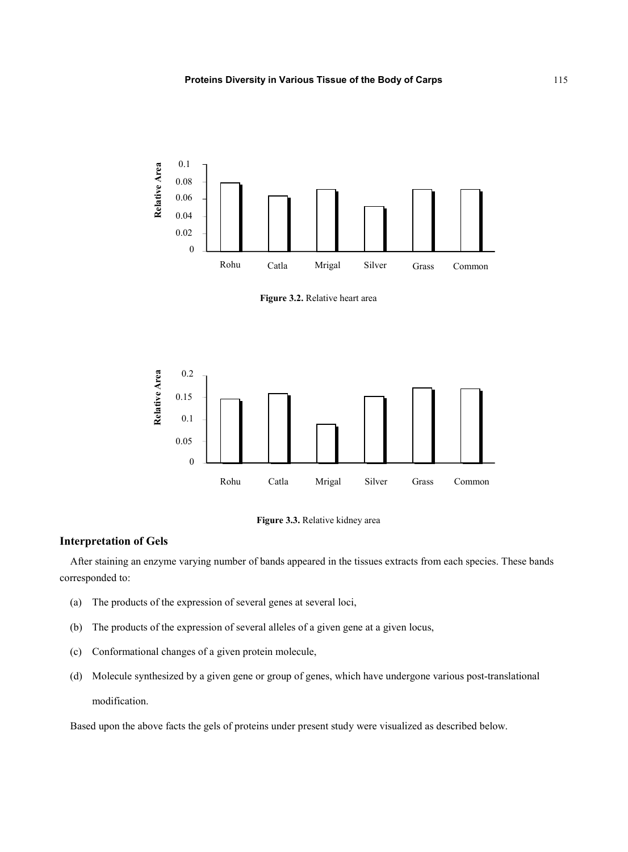

**Figure 3.2.** Relative heart area





### **Interpretation of Gels**

After staining an enzyme varying number of bands appeared in the tissues extracts from each species. These bands corresponded to:

- (a) The products of the expression of several genes at several loci,
- (b) The products of the expression of several alleles of a given gene at a given locus,
- (c) Conformational changes of a given protein molecule,
- (d) Molecule synthesized by a given gene or group of genes, which have undergone various post-translational modification.

Based upon the above facts the gels of proteins under present study were visualized as described below.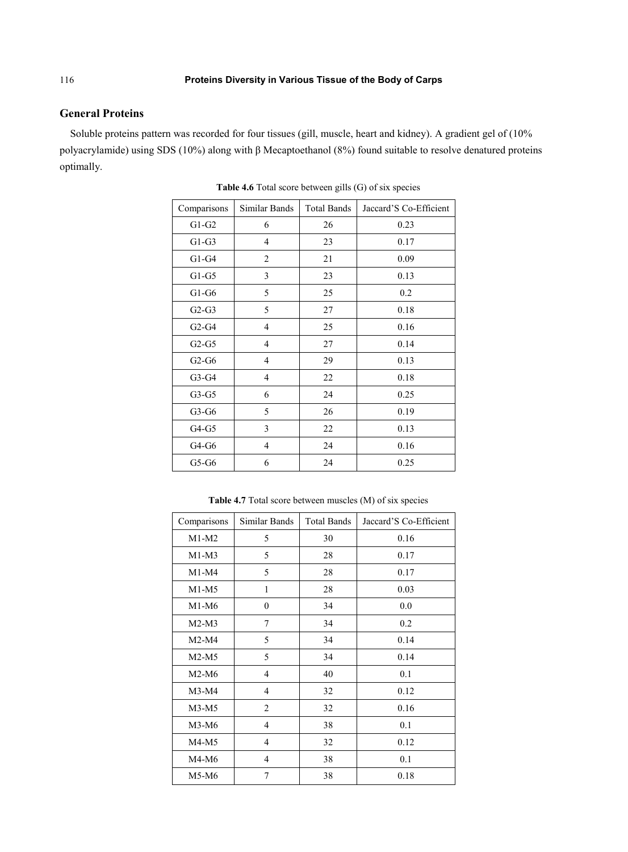## **General Proteins**

Soluble proteins pattern was recorded for four tissues (gill, muscle, heart and kidney). A gradient gel of (10% polyacrylamide) using SDS (10%) along with β Mecaptoethanol (8%) found suitable to resolve denatured proteins optimally.

| Comparisons | Similar Bands            | <b>Total Bands</b> | Jaccard'S Co-Efficient |
|-------------|--------------------------|--------------------|------------------------|
| $G1-G2$     | 6                        | 26                 | 0.23                   |
| $G1-G3$     | 4                        | 23                 | 0.17                   |
| $G1-G4$     | 2                        | 21                 | 0.09                   |
| $G1-G5$     | 3                        | 23                 | 0.13                   |
| $G1-G6$     | 5                        | 25                 | 0.2                    |
| $G2-G3$     | 5                        | 27                 | 0.18                   |
| $G2-G4$     | $\overline{4}$           | 25                 | 0.16                   |
| $G2-G5$     | $\overline{4}$           | 27                 | 0.14                   |
| $G2-G6$     | $\overline{\mathcal{L}}$ | 29                 | 0.13                   |
| $G3-G4$     | $\overline{4}$           | 22                 | 0.18                   |
| $G3-G5$     | 6                        | 24                 | 0.25                   |
| $G3-G6$     | 5                        | 26                 | 0.19                   |
| G4-G5       | 3                        | 22                 | 0.13                   |
| $G4-G6$     | 4                        | 24                 | 0.16                   |
| $G5-G6$     | 6                        | 24                 | 0.25                   |

**Table 4.6** Total score between gills (G) of six species

**Table 4.7** Total score between muscles (M) of six species

| Comparisons | Similar Bands  | <b>Total Bands</b> | Jaccard'S Co-Efficient |
|-------------|----------------|--------------------|------------------------|
| $M1-M2$     | 5              | 30                 | 0.16                   |
| $M1-M3$     | 5              | 28                 | 0.17                   |
| $M1-M4$     | 5              | 28                 | 0.17                   |
| $M1-M5$     | 1              | 28                 | 0.03                   |
| $M1-M6$     | $\theta$       | 34                 | 0.0                    |
| $M2-M3$     | 7              | 34                 | 0.2                    |
| $M2-M4$     | 5              | 34                 | 0.14                   |
| $M2-M5$     | 5              | 34                 | 0.14                   |
| $M2-M6$     | $\overline{4}$ | 40                 | 0.1                    |
| $M3-M4$     | $\overline{4}$ | 32                 | 0.12                   |
| $M3-M5$     | $\overline{c}$ | 32                 | 0.16                   |
| $M3-M6$     | $\overline{4}$ | 38                 | 0.1                    |
| $M4-M5$     | 4              | 32                 | 0.12                   |
| $M4-M6$     | 4              | 38                 | 0.1                    |
| M5-M6       | 7              | 38                 | 0.18                   |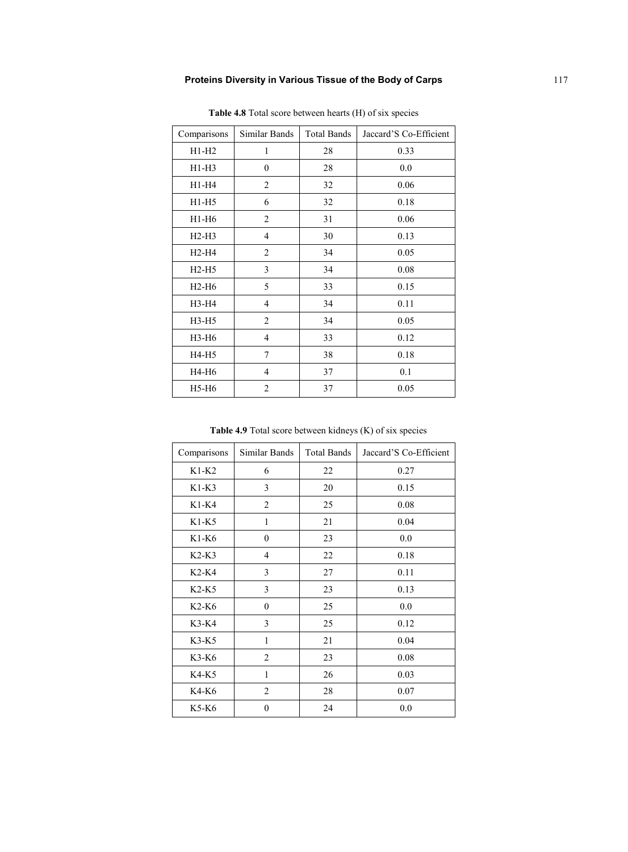| Comparisons | Similar Bands  | <b>Total Bands</b> | Jaccard'S Co-Efficient |
|-------------|----------------|--------------------|------------------------|
| $H1-H2$     | 1              | 28                 | 0.33                   |
| $H1-H3$     | $\theta$       | 28                 | 0.0                    |
| H1-H4       | 2              | 32                 | 0.06                   |
| $H1-H5$     | 6              | 32                 | 0.18                   |
| $H1-H6$     | $\overline{2}$ | 31                 | 0.06                   |
| $H2-H3$     | $\overline{4}$ | 30                 | 0.13                   |
| $H2-H4$     | 2              | 34                 | 0.05                   |
| $H2-H5$     | 3              | 34                 | 0.08                   |
| $H2-H6$     | 5              | 33                 | 0.15                   |
| H3-H4       | 4              | 34                 | 0.11                   |
| $H3-H5$     | 2              | 34                 | 0.05                   |
| H3-H6       | $\overline{4}$ | 33                 | 0.12                   |
| H4-H5       | 7              | 38                 | 0.18                   |
| H4-H6       | $\overline{4}$ | 37                 | 0.1                    |
| H5-H6       | $\overline{2}$ | 37                 | 0.05                   |

**Table 4.8** Total score between hearts (H) of six species

**Table 4.9** Total score between kidneys (K) of six species

| Comparisons | Similar Bands  | <b>Total Bands</b> | Jaccard'S Co-Efficient |
|-------------|----------------|--------------------|------------------------|
| $K1-K2$     | 6              | 22                 | 0.27                   |
| $K1-K3$     | 3              | 20                 | 0.15                   |
| $K1-K4$     | $\overline{2}$ | 25                 | 0.08                   |
| $K1-K5$     | $\mathbf{1}$   | 21                 | 0.04                   |
| $K1-K6$     | $\mathbf{0}$   | 23                 | 0.0                    |
| $K2-K3$     | $\overline{4}$ | 22                 | 0.18                   |
| K2-K4       | 3              | 27                 | 0.11                   |
| $K2-K5$     | 3              | 23                 | 0.13                   |
| $K2-K6$     | $\mathbf{0}$   | 25                 | 0.0                    |
| K3-K4       | 3              | 25                 | 0.12                   |
| $K3-K5$     | 1              | 21                 | 0.04                   |
| K3-K6       | $\overline{c}$ | 23                 | 0.08                   |
| K4-K5       | 1              | 26                 | 0.03                   |
| K4-K6       | $\overline{2}$ | 28                 | 0.07                   |
| K5-K6       | $\theta$       | 24                 | 0.0                    |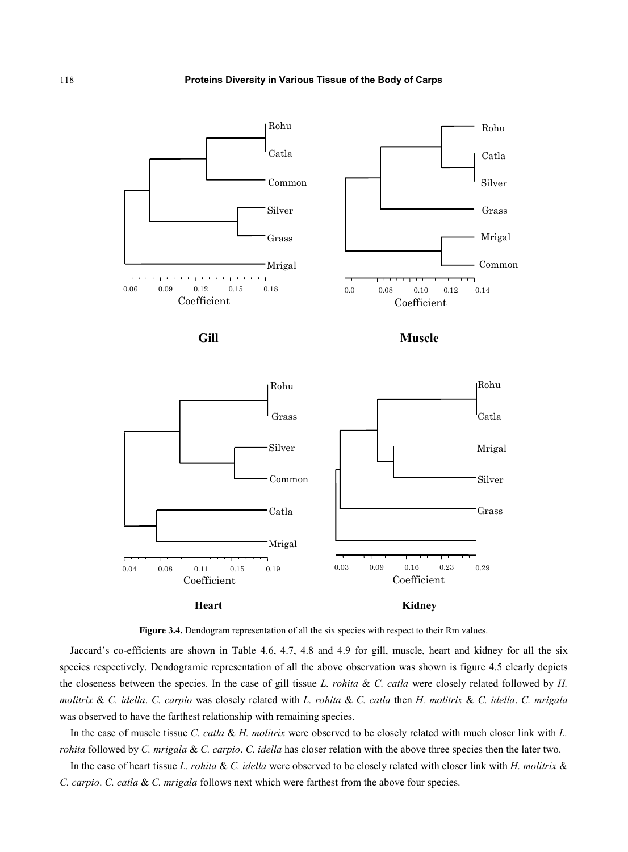

**Figure 3.4.** Dendogram representation of all the six species with respect to their Rm values.

Jaccard's co-efficients are shown in Table 4.6, 4.7, 4.8 and 4.9 for gill, muscle, heart and kidney for all the six species respectively. Dendogramic representation of all the above observation was shown is figure 4.5 clearly depicts the closeness between the species. In the case of gill tissue *L. rohita* & *C. catla* were closely related followed by *H. molitrix* & *C. idella*. *C. carpio* was closely related with *L. rohita* & *C. catla* then *H. molitrix* & *C. idella*. *C. mrigala* was observed to have the farthest relationship with remaining species.

In the case of muscle tissue *C. catla* & *H. molitrix* were observed to be closely related with much closer link with *L. rohita* followed by *C. mrigala* & *C. carpio*. *C. idella* has closer relation with the above three species then the later two.

In the case of heart tissue *L. rohita* & *C. idella* were observed to be closely related with closer link with *H. molitrix* & *C. carpio*. *C. catla* & *C. mrigala* follows next which were farthest from the above four species.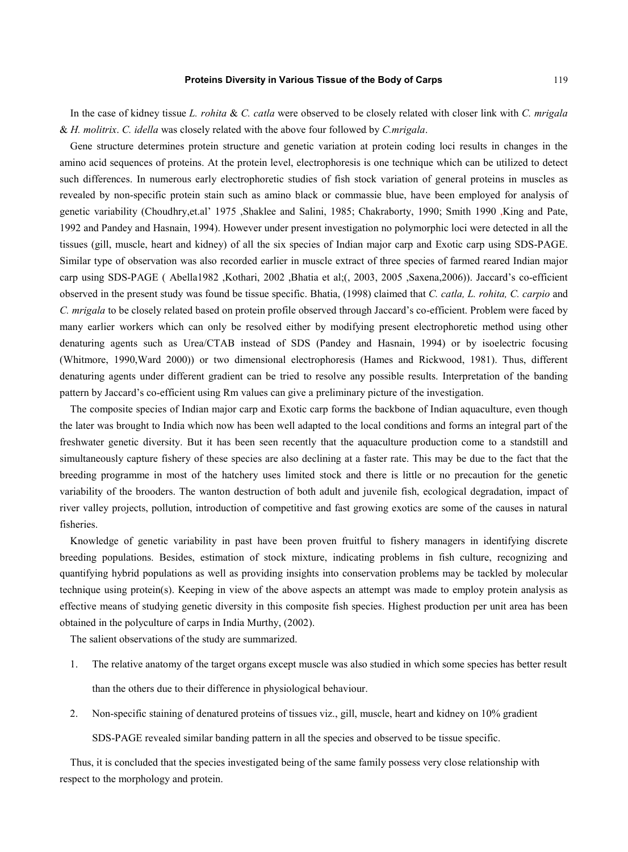In the case of kidney tissue *L. rohita* & *C. catla* were observed to be closely related with closer link with *C. mrigala*  & *H. molitrix*. *C. idella* was closely related with the above four followed by *C.mrigala*.

Gene structure determines protein structure and genetic variation at protein coding loci results in changes in the amino acid sequences of proteins. At the protein level, electrophoresis is one technique which can be utilized to detect such differences. In numerous early electrophoretic studies of fish stock variation of general proteins in muscles as revealed by non-specific protein stain such as amino black or commassie blue, have been employed for analysis of genetic variability (Choudhry,et.al' 1975 ,Shaklee and Salini, 1985; Chakraborty, 1990; Smith 1990 ,King and Pate, 1992 and Pandey and Hasnain, 1994). However under present investigation no polymorphic loci were detected in all the tissues (gill, muscle, heart and kidney) of all the six species of Indian major carp and Exotic carp using SDS-PAGE. Similar type of observation was also recorded earlier in muscle extract of three species of farmed reared Indian major carp using SDS-PAGE ( Abella1982 ,Kothari, 2002 ,Bhatia et al;(, 2003, 2005 ,Saxena,2006)). Jaccard's co-efficient observed in the present study was found be tissue specific. Bhatia, (1998) claimed that *C. catla, L. rohita, C. carpio* and *C. mrigala* to be closely related based on protein profile observed through Jaccard's co-efficient. Problem were faced by many earlier workers which can only be resolved either by modifying present electrophoretic method using other denaturing agents such as Urea/CTAB instead of SDS (Pandey and Hasnain, 1994) or by isoelectric focusing (Whitmore, 1990,Ward 2000)) or two dimensional electrophoresis (Hames and Rickwood, 1981). Thus, different denaturing agents under different gradient can be tried to resolve any possible results. Interpretation of the banding pattern by Jaccard's co-efficient using Rm values can give a preliminary picture of the investigation.

The composite species of Indian major carp and Exotic carp forms the backbone of Indian aquaculture, even though the later was brought to India which now has been well adapted to the local conditions and forms an integral part of the freshwater genetic diversity. But it has been seen recently that the aquaculture production come to a standstill and simultaneously capture fishery of these species are also declining at a faster rate. This may be due to the fact that the breeding programme in most of the hatchery uses limited stock and there is little or no precaution for the genetic variability of the brooders. The wanton destruction of both adult and juvenile fish, ecological degradation, impact of river valley projects, pollution, introduction of competitive and fast growing exotics are some of the causes in natural fisheries.

Knowledge of genetic variability in past have been proven fruitful to fishery managers in identifying discrete breeding populations. Besides, estimation of stock mixture, indicating problems in fish culture, recognizing and quantifying hybrid populations as well as providing insights into conservation problems may be tackled by molecular technique using protein(s). Keeping in view of the above aspects an attempt was made to employ protein analysis as effective means of studying genetic diversity in this composite fish species. Highest production per unit area has been obtained in the polyculture of carps in India Murthy, (2002).

The salient observations of the study are summarized.

- 1. The relative anatomy of the target organs except muscle was also studied in which some species has better result than the others due to their difference in physiological behaviour.
- 2. Non-specific staining of denatured proteins of tissues viz., gill, muscle, heart and kidney on 10% gradient SDS-PAGE revealed similar banding pattern in all the species and observed to be tissue specific.

Thus, it is concluded that the species investigated being of the same family possess very close relationship with respect to the morphology and protein.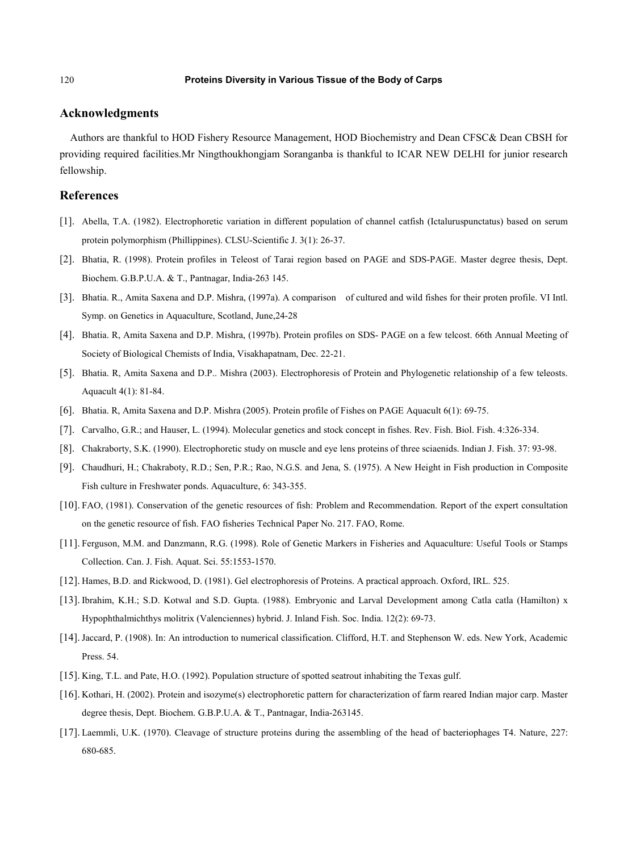#### **Acknowledgments**

Authors are thankful to HOD Fishery Resource Management, HOD Biochemistry and Dean CFSC& Dean CBSH for providing required facilities.Mr Ningthoukhongjam Soranganba is thankful to ICAR NEW DELHI for junior research fellowship.

### **References**

- [1]. Abella, T.A. (1982). Electrophoretic variation in different population of channel catfish (Ictaluruspunctatus) based on serum protein polymorphism (Phillippines). CLSU-Scientific J. 3(1): 26-37.
- [2]. Bhatia, R. (1998). Protein profiles in Teleost of Tarai region based on PAGE and SDS-PAGE. Master degree thesis, Dept. Biochem. G.B.P.U.A. & T., Pantnagar, India-263 145.
- [3]. Bhatia. R., Amita Saxena and D.P. Mishra, (1997a). A comparison of cultured and wild fishes for their proten profile. VI Intl. Symp. on Genetics in Aquaculture, Scotland, June,24-28
- [4]. Bhatia. R, Amita Saxena and D.P. Mishra, (1997b). Protein profiles on SDS- PAGE on a few telcost. 66th Annual Meeting of Society of Biological Chemists of India, Visakhapatnam, Dec. 22-21.
- [5]. Bhatia. R, Amita Saxena and D.P.. Mishra (2003). Electrophoresis of Protein and Phylogenetic relationship of a few teleosts. Aquacult 4(1): 81-84.
- [6]. Bhatia. R, Amita Saxena and D.P. Mishra (2005). Protein profile of Fishes on PAGE Aquacult 6(1): 69-75.
- [7]. Carvalho, G.R.; and Hauser, L. (1994). Molecular genetics and stock concept in fishes. Rev. Fish. Biol. Fish. 4:326-334.
- [8]. Chakraborty, S.K. (1990). Electrophoretic study on muscle and eye lens proteins of three sciaenids. Indian J. Fish. 37: 93-98.
- [9]. Chaudhuri, H.; Chakraboty, R.D.; Sen, P.R.; Rao, N.G.S. and Jena, S. (1975). A New Height in Fish production in Composite Fish culture in Freshwater ponds. Aquaculture, 6: 343-355.
- [10]. FAO, (1981). Conservation of the genetic resources of fish: Problem and Recommendation. Report of the expert consultation on the genetic resource of fish. FAO fisheries Technical Paper No. 217. FAO, Rome.
- [11]. Ferguson, M.M. and Danzmann, R.G. (1998). Role of Genetic Markers in Fisheries and Aquaculture: Useful Tools or Stamps Collection. Can. J. Fish. Aquat. Sci. 55:1553-1570.
- [12]. Hames, B.D. and Rickwood, D. (1981). Gel electrophoresis of Proteins. A practical approach. Oxford, IRL. 525.
- [13]. Ibrahim, K.H.; S.D. Kotwal and S.D. Gupta. (1988). Embryonic and Larval Development among Catla catla (Hamilton) x Hypophthalmichthys molitrix (Valenciennes) hybrid. J. Inland Fish. Soc. India. 12(2): 69-73.
- [14].Jaccard, P. (1908). In: An introduction to numerical classification. Clifford, H.T. and Stephenson W. eds. New York, Academic Press. 54.
- [15]. King, T.L. and Pate, H.O. (1992). Population structure of spotted seatrout inhabiting the Texas gulf.
- [16]. Kothari, H. (2002). Protein and isozyme(s) electrophoretic pattern for characterization of farm reared Indian major carp. Master degree thesis, Dept. Biochem. G.B.P.U.A. & T., Pantnagar, India-263145.
- [17]. Laemmli, U.K. (1970). Cleavage of structure proteins during the assembling of the head of bacteriophages T4. Nature, 227: 680-685.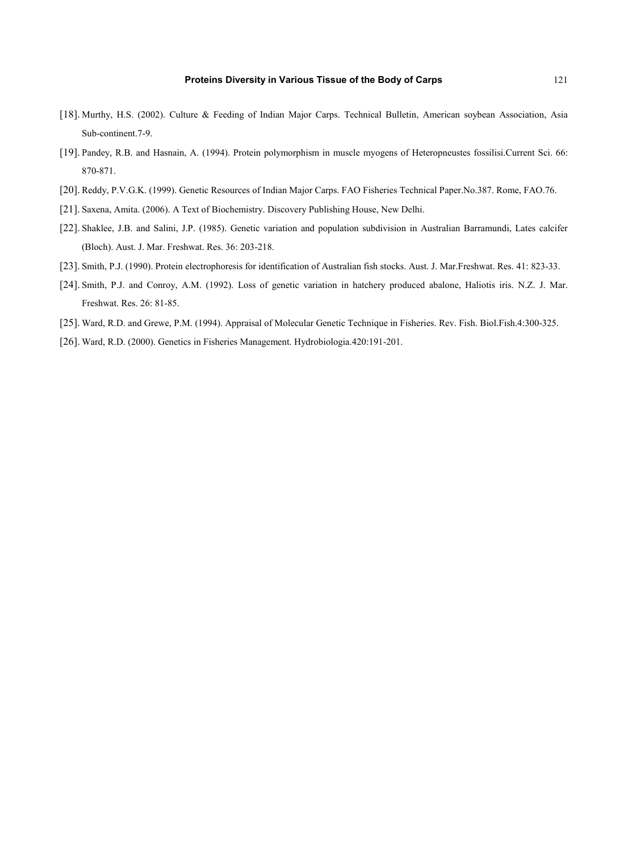- [18]. Murthy, H.S. (2002). Culture & Feeding of Indian Major Carps. Technical Bulletin, American soybean Association, Asia Sub-continent.7-9.
- [19]. Pandey, R.B. and Hasnain, A. (1994). Protein polymorphism in muscle myogens of Heteropneustes fossilisi.Current Sci. 66: 870-871.
- [20]. Reddy, P.V.G.K. (1999). Genetic Resources of Indian Major Carps. FAO Fisheries Technical Paper.No.387. Rome, FAO.76.
- [21]. Saxena, Amita. (2006). A Text of Biochemistry. Discovery Publishing House, New Delhi.
- [22]. Shaklee, J.B. and Salini, J.P. (1985). Genetic variation and population subdivision in Australian Barramundi, Lates calcifer (Bloch). Aust. J. Mar. Freshwat. Res. 36: 203-218.
- [23]. Smith, P.J. (1990). Protein electrophoresis for identification of Australian fish stocks. Aust. J. Mar.Freshwat. Res. 41: 823-33.
- [24]. Smith, P.J. and Conroy, A.M. (1992). Loss of genetic variation in hatchery produced abalone, Haliotis iris. N.Z. J. Mar. Freshwat. Res. 26: 81-85.
- [25]. Ward, R.D. and Grewe, P.M. (1994). Appraisal of Molecular Genetic Technique in Fisheries. Rev. Fish. Biol.Fish.4:300-325.
- [26]. Ward, R.D. (2000). Genetics in Fisheries Management. Hydrobiologia.420:191-201.